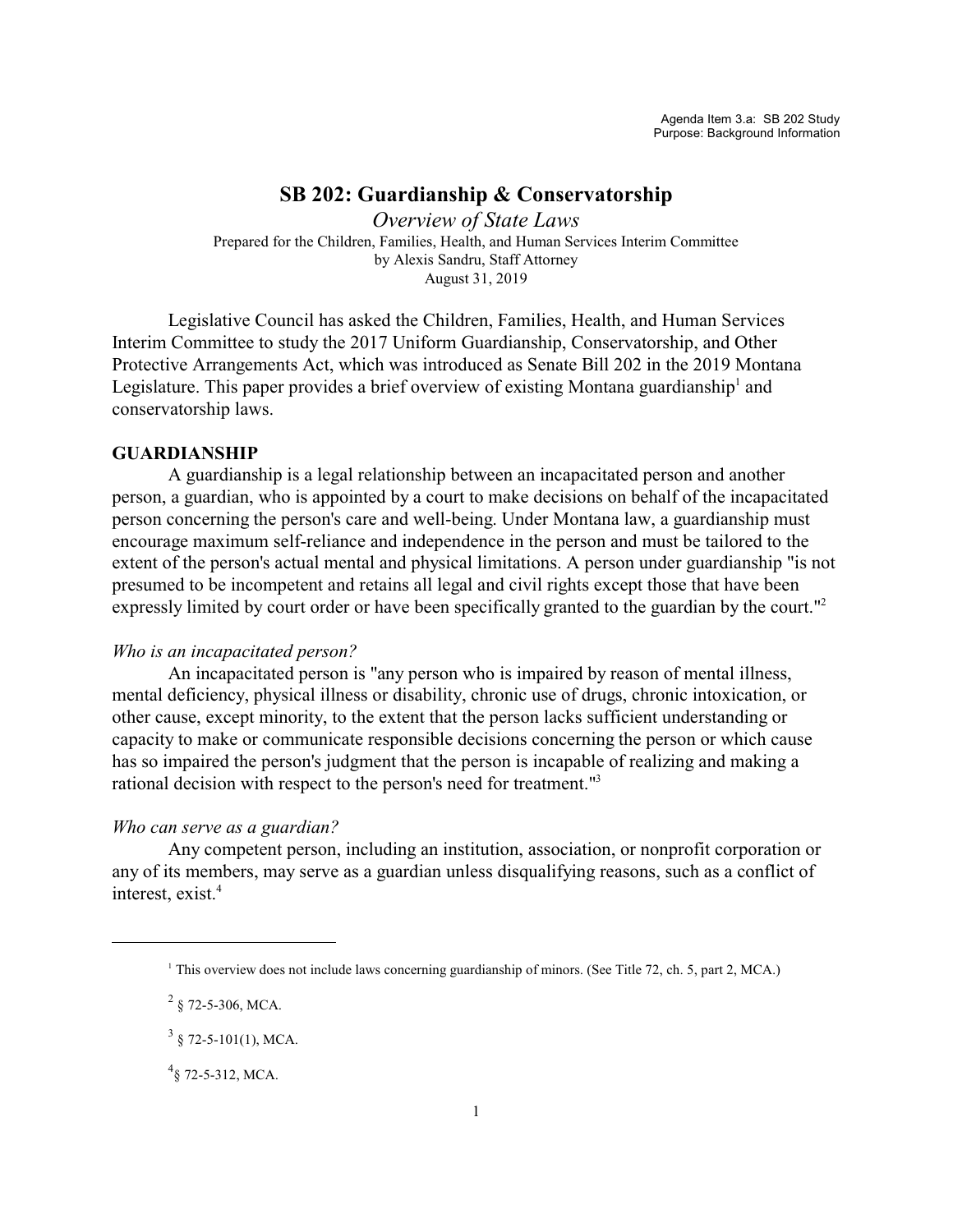# **SB 202: Guardianship & Conservatorship**

*Overview of State Laws* Prepared for the Children, Families, Health, and Human Services Interim Committee by Alexis Sandru, Staff Attorney August 31, 2019

Legislative Council has asked the Children, Families, Health, and Human Services Interim Committee to study the 2017 Uniform Guardianship, Conservatorship, and Other Protective Arrangements Act, which was introduced as Senate Bill 202 in the 2019 Montana Legislature. This paper provides a brief overview of existing Montana guardianship<sup>1</sup> and conservatorship laws.

## **GUARDIANSHIP**

A guardianship is a legal relationship between an incapacitated person and another person, a guardian, who is appointed by a court to make decisions on behalf of the incapacitated person concerning the person's care and well-being. Under Montana law, a guardianship must encourage maximum self-reliance and independence in the person and must be tailored to the extent of the person's actual mental and physical limitations. A person under guardianship "is not presumed to be incompetent and retains all legal and civil rights except those that have been expressly limited by court order or have been specifically granted to the guardian by the court."<sup>2</sup>

### *Who is an incapacitated person?*

An incapacitated person is "any person who is impaired by reason of mental illness, mental deficiency, physical illness or disability, chronic use of drugs, chronic intoxication, or other cause, except minority, to the extent that the person lacks sufficient understanding or capacity to make or communicate responsible decisions concerning the person or which cause has so impaired the person's judgment that the person is incapable of realizing and making a rational decision with respect to the person's need for treatment."<sup>3</sup>

### *Who can serve as a guardian?*

Any competent person, including an institution, association, or nonprofit corporation or any of its members, may serve as a guardian unless disqualifying reasons, such as a conflict of interest, exist.<sup>4</sup>

 $2\,$  § 72-5-306, MCA.

<sup>1</sup> This overview does not include laws concerning guardianship of minors. (See Title 72, ch. 5, part 2, MCA.)

 $3 \S 72 - 5 - 101(1)$ , MCA.

 $^{4}$ § 72-5-312, MCA.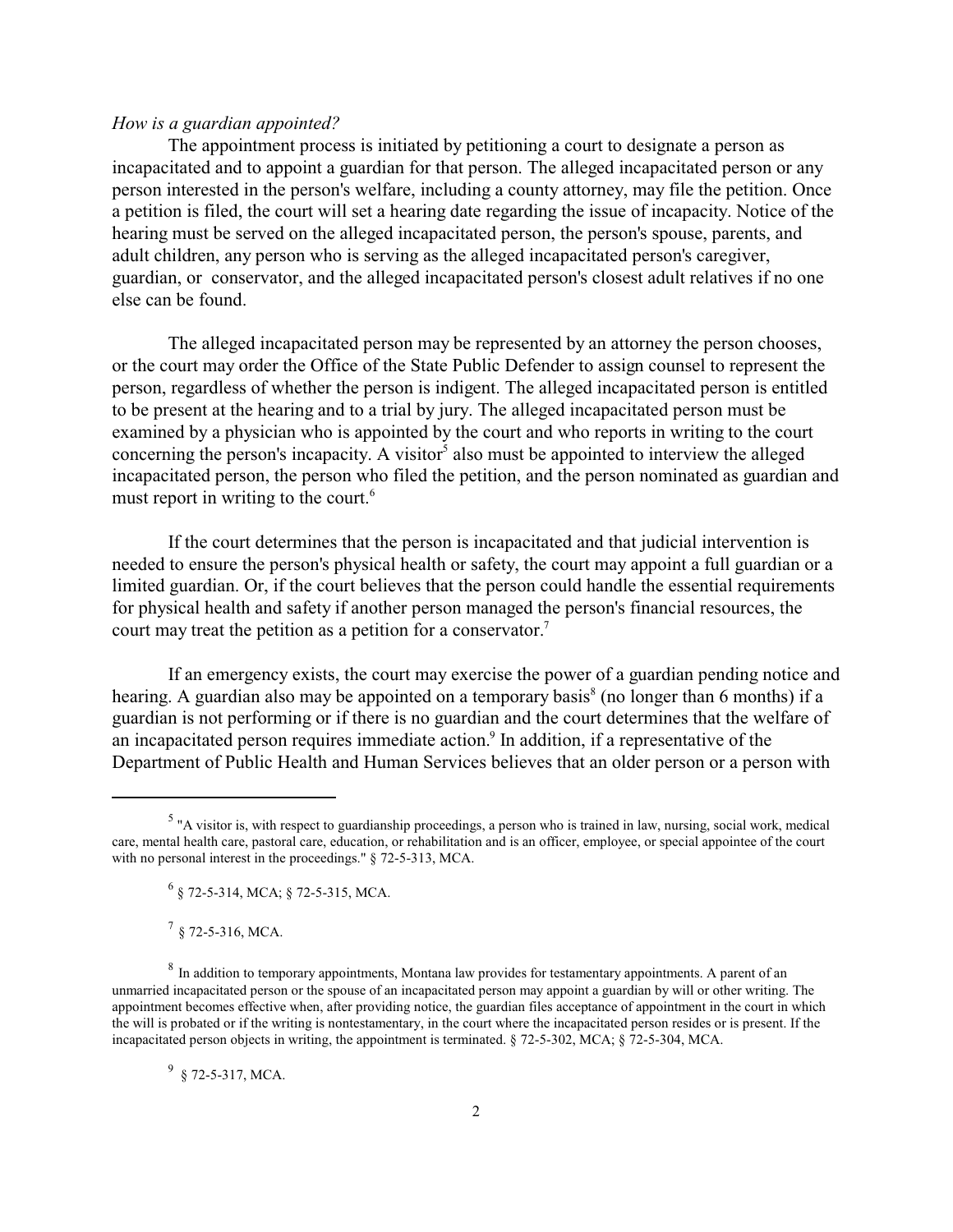### *How is a guardian appointed?*

The appointment process is initiated by petitioning a court to designate a person as incapacitated and to appoint a guardian for that person. The alleged incapacitated person or any person interested in the person's welfare, including a county attorney, may file the petition. Once a petition is filed, the court will set a hearing date regarding the issue of incapacity. Notice of the hearing must be served on the alleged incapacitated person, the person's spouse, parents, and adult children, any person who is serving as the alleged incapacitated person's caregiver, guardian, or conservator, and the alleged incapacitated person's closest adult relatives if no one else can be found.

The alleged incapacitated person may be represented by an attorney the person chooses, or the court may order the Office of the State Public Defender to assign counsel to represent the person, regardless of whether the person is indigent. The alleged incapacitated person is entitled to be present at the hearing and to a trial by jury. The alleged incapacitated person must be examined by a physician who is appointed by the court and who reports in writing to the court concerning the person's incapacity. A visitor<sup>5</sup> also must be appointed to interview the alleged incapacitated person, the person who filed the petition, and the person nominated as guardian and must report in writing to the court.<sup>6</sup>

If the court determines that the person is incapacitated and that judicial intervention is needed to ensure the person's physical health or safety, the court may appoint a full guardian or a limited guardian. Or, if the court believes that the person could handle the essential requirements for physical health and safety if another person managed the person's financial resources, the court may treat the petition as a petition for a conservator.<sup>7</sup>

If an emergency exists, the court may exercise the power of a guardian pending notice and hearing. A guardian also may be appointed on a temporary basis<sup>8</sup> (no longer than 6 months) if a guardian is not performing or if there is no guardian and the court determines that the welfare of an incapacitated person requires immediate action.<sup>9</sup> In addition, if a representative of the Department of Public Health and Human Services believes that an older person or a person with

 $9\,$  § 72-5-317, MCA.

<sup>&</sup>lt;sup>5</sup> "A visitor is, with respect to guardianship proceedings, a person who is trained in law, nursing, social work, medical care, mental health care, pastoral care, education, or rehabilitation and is an officer, employee, or special appointee of the court with no personal interest in the proceedings." § 72-5-313, MCA.

<sup>6</sup> § 72-5-314, MCA; § 72-5-315, MCA.

 $^{7}$  § 72-5-316, MCA.

 $8\,$  In addition to temporary appointments, Montana law provides for testamentary appointments. A parent of an unmarried incapacitated person or the spouse of an incapacitated person may appoint a guardian by will or other writing. The appointment becomes effective when, after providing notice, the guardian files acceptance of appointment in the court in which the will is probated or if the writing is nontestamentary, in the court where the incapacitated person resides or is present. If the incapacitated person objects in writing, the appointment is terminated. § 72-5-302, MCA; § 72-5-304, MCA.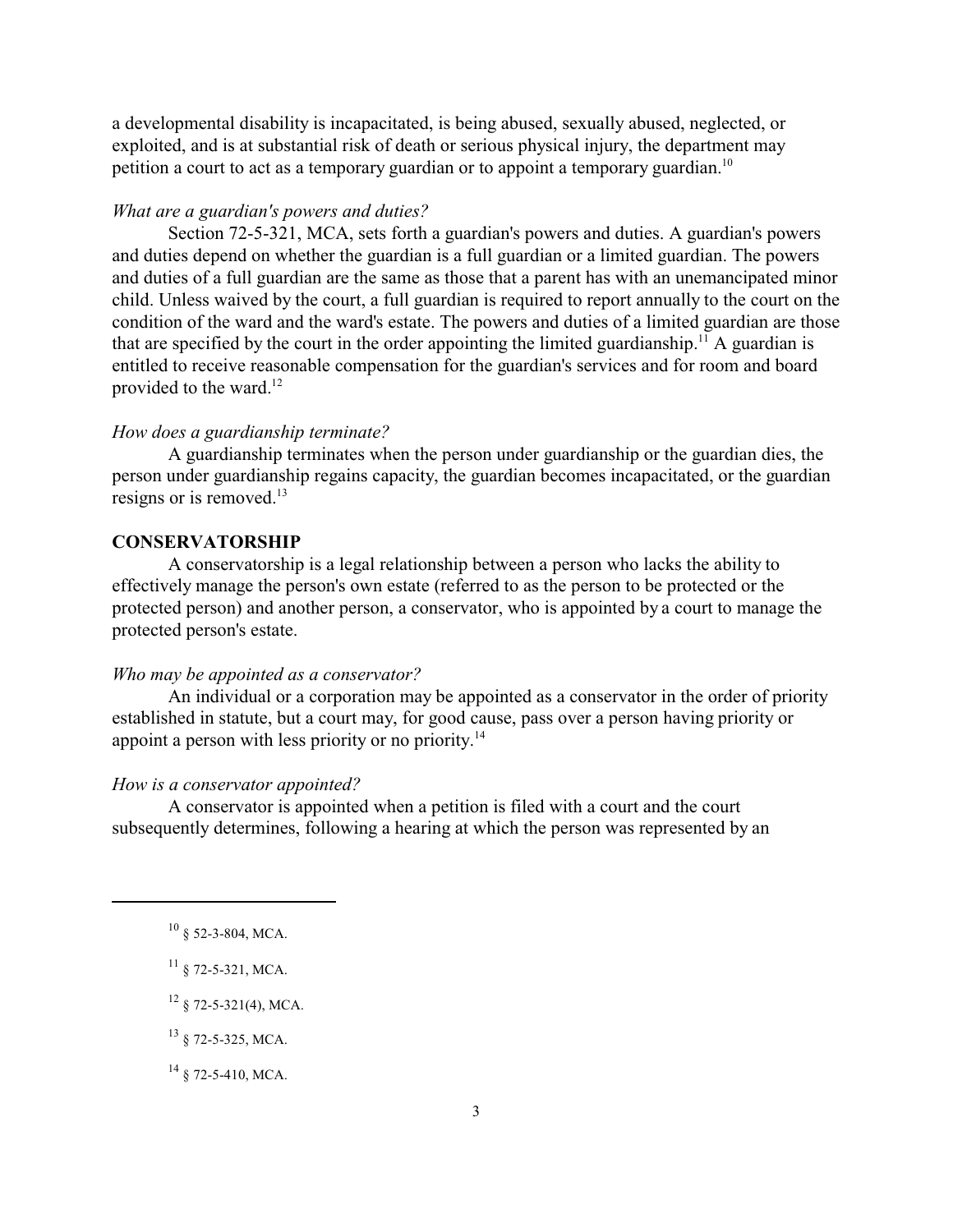a developmental disability is incapacitated, is being abused, sexually abused, neglected, or exploited, and is at substantial risk of death or serious physical injury, the department may petition a court to act as a temporary guardian or to appoint a temporary guardian.<sup>10</sup>

### *What are a guardian's powers and duties?*

Section 72-5-321, MCA, sets forth a guardian's powers and duties. A guardian's powers and duties depend on whether the guardian is a full guardian or a limited guardian. The powers and duties of a full guardian are the same as those that a parent has with an unemancipated minor child. Unless waived by the court, a full guardian is required to report annually to the court on the condition of the ward and the ward's estate. The powers and duties of a limited guardian are those that are specified by the court in the order appointing the limited guardianship.<sup>11</sup> A guardian is entitled to receive reasonable compensation for the guardian's services and for room and board provided to the ward.<sup>12</sup>

### *How does a guardianship terminate?*

A guardianship terminates when the person under guardianship or the guardian dies, the person under guardianship regains capacity, the guardian becomes incapacitated, or the guardian resigns or is removed.<sup>13</sup>

### **CONSERVATORSHIP**

A conservatorship is a legal relationship between a person who lacks the ability to effectively manage the person's own estate (referred to as the person to be protected or the protected person) and another person, a conservator, who is appointed by a court to manage the protected person's estate.

### *Who may be appointed as a conservator?*

An individual or a corporation may be appointed as a conservator in the order of priority established in statute, but a court may, for good cause, pass over a person having priority or appoint a person with less priority or no priority.<sup>14</sup>

#### *How is a conservator appointed?*

A conservator is appointed when a petition is filed with a court and the court subsequently determines, following a hearing at which the person was represented by an

 $^{11}$  § 72-5-321, MCA.

 $12 \S$  72-5-321(4), MCA.

<sup>13</sup> § 72-5-325, MCA.

 $14 \S$  72-5-410, MCA.

 $10 \text{ }$ § 52-3-804, MCA.